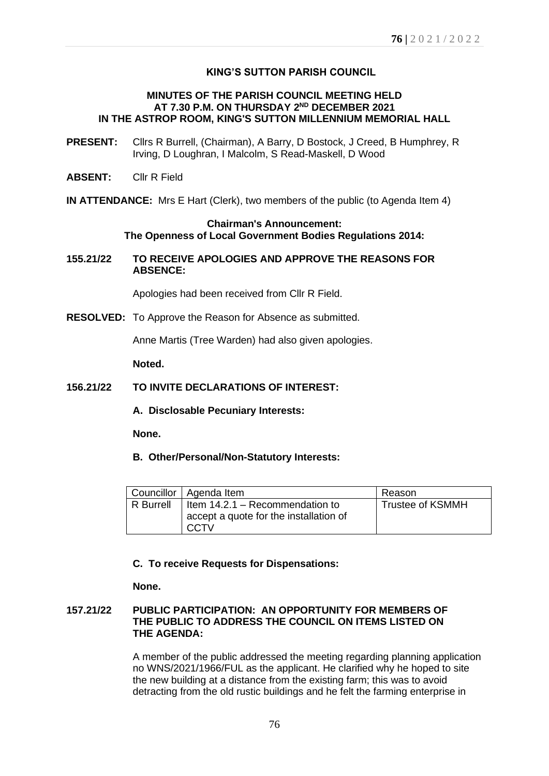# **KING'S SUTTON PARISH COUNCIL**

## **MINUTES OF THE PARISH COUNCIL MEETING HELD AT 7.30 P.M. ON THURSDAY 2 ND DECEMBER 2021 IN THE ASTROP ROOM, KING'S SUTTON MILLENNIUM MEMORIAL HALL**

- **PRESENT:** Cllrs R Burrell, (Chairman), A Barry, D Bostock, J Creed, B Humphrey, R Irving, D Loughran, I Malcolm, S Read-Maskell, D Wood
- **ABSENT:** Cllr R Field
- **IN ATTENDANCE:** Mrs E Hart (Clerk), two members of the public (to Agenda Item 4)

## **Chairman's Announcement: The Openness of Local Government Bodies Regulations 2014:**

**155.21/22 TO RECEIVE APOLOGIES AND APPROVE THE REASONS FOR ABSENCE:**

Apologies had been received from Cllr R Field.

**RESOLVED:** To Approve the Reason for Absence as submitted.

Anne Martis (Tree Warden) had also given apologies.

**Noted.**

#### **156.21/22 TO INVITE DECLARATIONS OF INTEREST:**

**A. Disclosable Pecuniary Interests:** 

**None.**

**B. Other/Personal/Non-Statutory Interests:**

|                  | Councillor   Agenda Item                                                          | Reason                  |
|------------------|-----------------------------------------------------------------------------------|-------------------------|
| <b>R</b> Burrell | Item 14.2.1 – Recommendation to<br>accept a quote for the installation of<br>CCTV | <b>Trustee of KSMMH</b> |

## **C. To receive Requests for Dispensations:**

**None.**

# **157.21/22 PUBLIC PARTICIPATION: AN OPPORTUNITY FOR MEMBERS OF THE PUBLIC TO ADDRESS THE COUNCIL ON ITEMS LISTED ON THE AGENDA:**

A member of the public addressed the meeting regarding planning application no WNS/2021/1966/FUL as the applicant. He clarified why he hoped to site the new building at a distance from the existing farm; this was to avoid detracting from the old rustic buildings and he felt the farming enterprise in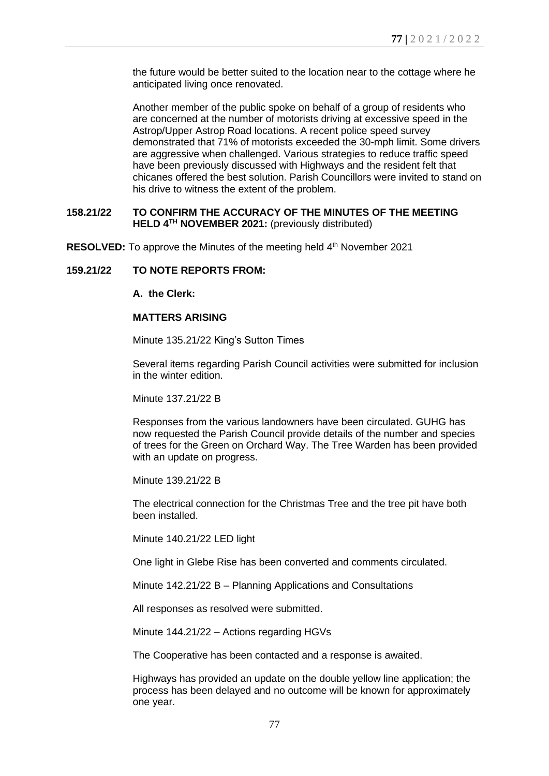the future would be better suited to the location near to the cottage where he anticipated living once renovated.

Another member of the public spoke on behalf of a group of residents who are concerned at the number of motorists driving at excessive speed in the Astrop/Upper Astrop Road locations. A recent police speed survey demonstrated that 71% of motorists exceeded the 30-mph limit. Some drivers are aggressive when challenged. Various strategies to reduce traffic speed have been previously discussed with Highways and the resident felt that chicanes offered the best solution. Parish Councillors were invited to stand on his drive to witness the extent of the problem.

# **158.21/22 TO CONFIRM THE ACCURACY OF THE MINUTES OF THE MEETING HELD 4 TH NOVEMBER 2021:** (previously distributed)

RESOLVED: To approve the Minutes of the meeting held 4<sup>th</sup> November 2021

# **159.21/22 TO NOTE REPORTS FROM:**

## **A. the Clerk:**

#### **MATTERS ARISING**

Minute 135.21/22 King's Sutton Times

Several items regarding Parish Council activities were submitted for inclusion in the winter edition.

Minute 137.21/22 B

Responses from the various landowners have been circulated. GUHG has now requested the Parish Council provide details of the number and species of trees for the Green on Orchard Way. The Tree Warden has been provided with an update on progress.

Minute 139.21/22 B

The electrical connection for the Christmas Tree and the tree pit have both been installed.

Minute 140.21/22 LED light

One light in Glebe Rise has been converted and comments circulated.

Minute 142.21/22 B – Planning Applications and Consultations

All responses as resolved were submitted.

Minute 144.21/22 – Actions regarding HGVs

The Cooperative has been contacted and a response is awaited.

Highways has provided an update on the double yellow line application; the process has been delayed and no outcome will be known for approximately one year.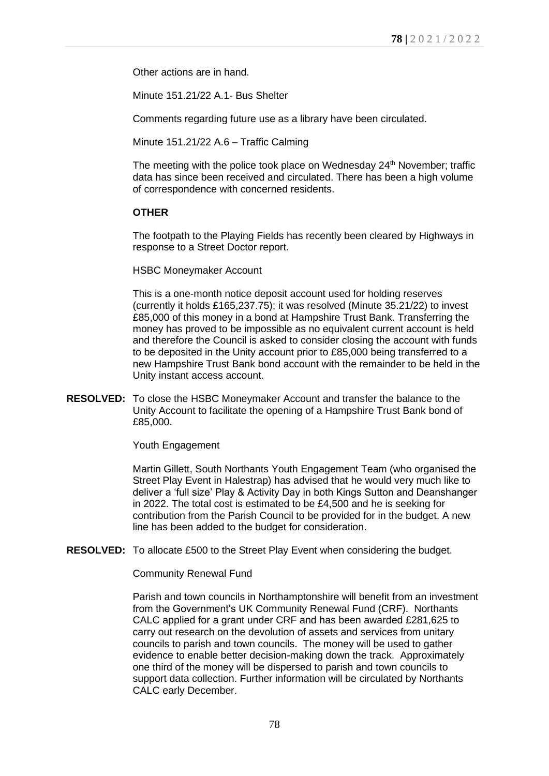Other actions are in hand.

Minute 151.21/22 A.1- Bus Shelter

Comments regarding future use as a library have been circulated.

Minute 151.21/22 A.6 – Traffic Calming

The meeting with the police took place on Wednesday 24<sup>th</sup> November; traffic data has since been received and circulated. There has been a high volume of correspondence with concerned residents.

# **OTHER**

The footpath to the Playing Fields has recently been cleared by Highways in response to a Street Doctor report.

HSBC Moneymaker Account

This is a one-month notice deposit account used for holding reserves (currently it holds £165,237.75); it was resolved (Minute 35.21/22) to invest £85,000 of this money in a bond at Hampshire Trust Bank. Transferring the money has proved to be impossible as no equivalent current account is held and therefore the Council is asked to consider closing the account with funds to be deposited in the Unity account prior to £85,000 being transferred to a new Hampshire Trust Bank bond account with the remainder to be held in the Unity instant access account.

**RESOLVED:** To close the HSBC Moneymaker Account and transfer the balance to the Unity Account to facilitate the opening of a Hampshire Trust Bank bond of £85,000.

Youth Engagement

Martin Gillett, South Northants Youth Engagement Team (who organised the Street Play Event in Halestrap) has advised that he would very much like to deliver a 'full size' Play & Activity Day in both Kings Sutton and Deanshanger in 2022. The total cost is estimated to be £4,500 and he is seeking for contribution from the Parish Council to be provided for in the budget. A new line has been added to the budget for consideration.

**RESOLVED:** To allocate £500 to the Street Play Event when considering the budget.

Community Renewal Fund

Parish and town councils in Northamptonshire will benefit from an investment from the Government's UK Community Renewal Fund (CRF). Northants CALC applied for a grant under CRF and has been awarded £281,625 to carry out research on the devolution of assets and services from unitary councils to parish and town councils. The money will be used to gather evidence to enable better decision-making down the track. Approximately one third of the money will be dispersed to parish and town councils to support data collection. Further information will be circulated by Northants CALC early December.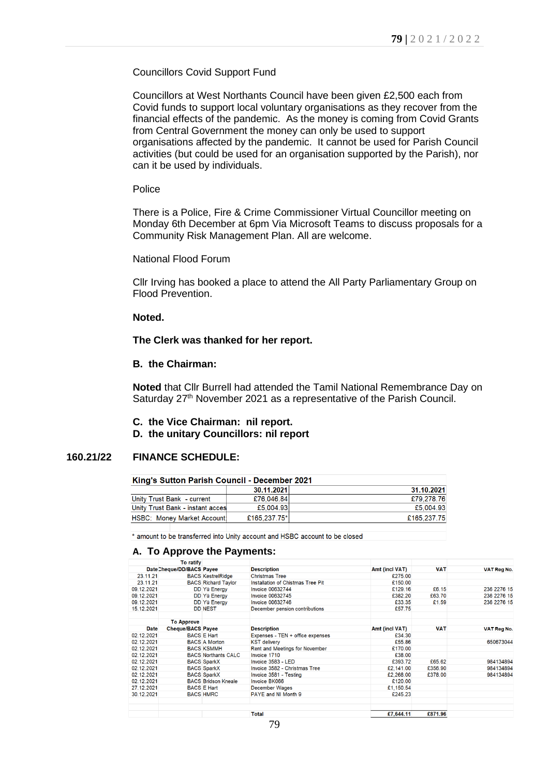### Councillors Covid Support Fund

Councillors at West Northants Council have been given £2,500 each from Covid funds to support local voluntary organisations as they recover from the financial effects of the pandemic. As the money is coming from Covid Grants from Central Government the money can only be used to support organisations affected by the pandemic. It cannot be used for Parish Council activities (but could be used for an organisation supported by the Parish), nor can it be used by individuals.

#### Police

There is a Police, Fire & Crime Commissioner Virtual Councillor meeting on Monday 6th December at 6pm Via Microsoft Teams to discuss proposals for a Community Risk Management Plan. All are welcome.

# National Flood Forum

Cllr Irving has booked a place to attend the All Party Parliamentary Group on Flood Prevention.

#### **Noted.**

#### **The Clerk was thanked for her report.**

#### **B. the Chairman:**

**Noted** that Cllr Burrell had attended the Tamil National Remembrance Day on Saturday 27<sup>th</sup> November 2021 as a representative of the Parish Council.

- **C. the Vice Chairman: nil report.**
- **D. the unitary Councillors: nil report**

#### **160.21/22 FINANCE SCHEDULE:**

| King's Sutton Parish Council - December 2021 |              |             |  |  |
|----------------------------------------------|--------------|-------------|--|--|
|                                              | 30.11.2021   | 31.10.2021  |  |  |
| Unity Trust Bank - current                   | £76,046,84   | £79.278.76  |  |  |
| Unity Trust Bank - instant acces             | £5.004.93    | £5,004.93   |  |  |
| <b>HSBC: Money Market Account:</b>           | £165,237,75* | £165,237.75 |  |  |

\* amount to be transferred into Unity account and HSBC account to be closed

#### **A. To Approve the Payments:**

|             | To ratify                 |                            |                                   |                |            |             |
|-------------|---------------------------|----------------------------|-----------------------------------|----------------|------------|-------------|
|             | Date Cheque/DD/BACS Payee |                            | <b>Description</b>                | Amt (incl VAT) | <b>VAT</b> | VAT Reg No. |
| 23.11.21    |                           | <b>BACS KestrelRidge</b>   | <b>Christmas Tree</b>             | £275.00        |            |             |
| 23.11.21    |                           | <b>BACS Richard Taylor</b> | Installation of Chistmas Tree Pit | £150.00        |            |             |
| 09.12.2021  |                           | DD Yü Energy               | <b>Invoice 00632744</b>           | £129.16        | £6.15      | 236 2276 15 |
| 09.12.2021  |                           | DD Yü Energy               | <b>Invoice 00632745</b>           | £382.20        | £63.70     | 236 2276 15 |
| 09.12.2021  |                           | DD Yü Energy               | <b>Invoice 00632746</b>           | £33.35         | £1.59      | 236 2276 15 |
| 15.12.2021  |                           | <b>DD NEST</b>             | December pension contributions    | £57.75         |            |             |
|             | <b>To Approve</b>         |                            |                                   |                |            |             |
| <b>Date</b> | <b>Cheque/BACS Payee</b>  |                            | <b>Description</b>                | Amt (incl VAT) | <b>VAT</b> | VAT Reg No. |
| 02.12.2021  |                           | <b>BACS E Hart</b>         | Expenses - TEN + office expenses  | £34.30         |            |             |
| 02.12.2021  |                           | <b>BACS A Morton</b>       | <b>KST delivery</b>               | £55.86         |            | 650673044   |
| 02.12.2021  |                           | <b>BACS KSMMH</b>          | Rent and Meetings for November    | £170.00        |            |             |
| 02.12.2021  |                           | <b>BACS Northants CALC</b> | Invoice 1710                      | £38.00         |            |             |
| 02.12.2021  |                           | <b>BACS SparkX</b>         | Invoice 3583 - LED                | £393.72        | £65.62     | 984134894   |
| 02.12.2021  |                           | <b>BACS SparkX</b>         | Invoice 3582 - Christmas Tree     | £2,141.00      | £356.90    | 984134894   |
| 02.12.2021  |                           | <b>BACS SparkX</b>         | Invoice 3581 - Testing            | £2,268.00      | £378.00    | 984134894   |
| 02.12.2021  |                           | <b>BACS Bridson Kneale</b> | Invoice BK066                     | £120.00        |            |             |
| 27.12.2021  |                           | <b>BACS E Hart</b>         | <b>December Wages</b>             | £1,150.54      |            |             |
| 30.12.2021  |                           | <b>BACS HMRC</b>           | PAYE and NI Month 9               | £245.23        |            |             |
|             |                           |                            | Total                             | £7,644.11      | £871.96    |             |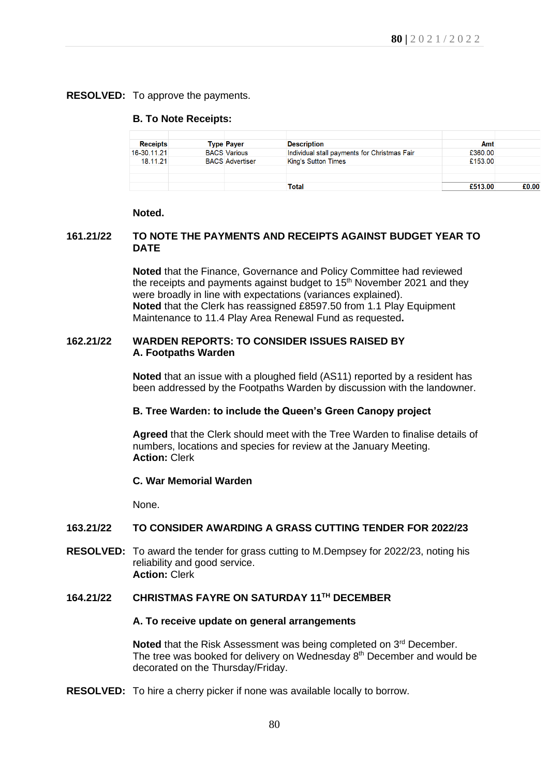# **RESOLVED:** To approve the payments.

## **B. To Note Receipts:**

| <b>Receipts</b> | <b>Type Payer</b>      | <b>Description</b>                           | Amt     |       |
|-----------------|------------------------|----------------------------------------------|---------|-------|
| 16-30.11.21     | <b>BACS Various</b>    | Individual stall payments for Christmas Fair | £360.00 |       |
| 18.11.21        | <b>BACS Advertiser</b> | <b>King's Sutton Times</b>                   | £153.00 |       |
|                 |                        |                                              |         |       |
|                 |                        |                                              |         |       |
|                 |                        | <b>Total</b>                                 | £513.00 | £0.00 |

#### **Noted.**

# **161.21/22 TO NOTE THE PAYMENTS AND RECEIPTS AGAINST BUDGET YEAR TO DATE**

**Noted** that the Finance, Governance and Policy Committee had reviewed the receipts and payments against budget to 15<sup>th</sup> November 2021 and they were broadly in line with expectations (variances explained). **Noted** that the Clerk has reassigned £8597.50 from 1.1 Play Equipment Maintenance to 11.4 Play Area Renewal Fund as requested**.**

# **162.21/22 WARDEN REPORTS: TO CONSIDER ISSUES RAISED BY A. Footpaths Warden**

**Noted** that an issue with a ploughed field (AS11) reported by a resident has been addressed by the Footpaths Warden by discussion with the landowner.

## **B. Tree Warden: to include the Queen's Green Canopy project**

**Agreed** that the Clerk should meet with the Tree Warden to finalise details of numbers, locations and species for review at the January Meeting. **Action:** Clerk

## **C. War Memorial Warden**

None.

## **163.21/22 TO CONSIDER AWARDING A GRASS CUTTING TENDER FOR 2022/23**

**RESOLVED:** To award the tender for grass cutting to M.Dempsey for 2022/23, noting his reliability and good service. **Action:** Clerk

# **164.21/22 CHRISTMAS FAYRE ON SATURDAY 11TH DECEMBER**

#### **A. To receive update on general arrangements**

**Noted** that the Risk Assessment was being completed on 3<sup>rd</sup> December. The tree was booked for delivery on Wednesday 8<sup>th</sup> December and would be decorated on the Thursday/Friday.

**RESOLVED:** To hire a cherry picker if none was available locally to borrow.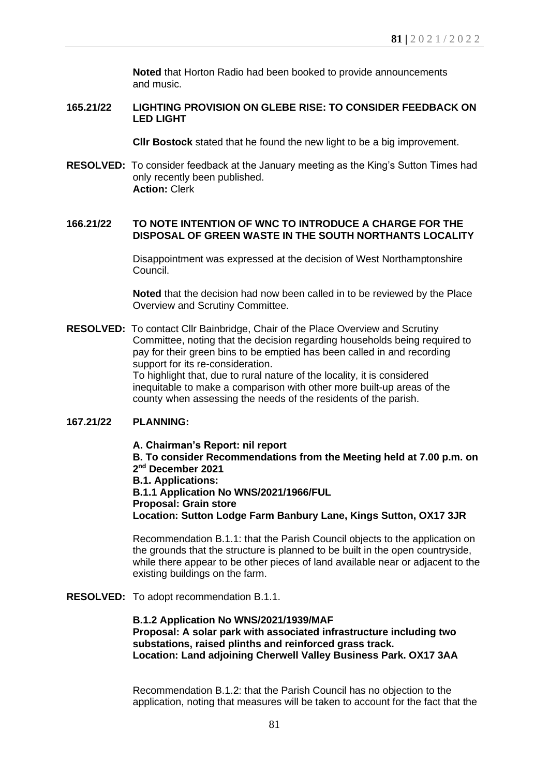**Noted** that Horton Radio had been booked to provide announcements and music.

# **165.21/22 LIGHTING PROVISION ON GLEBE RISE: TO CONSIDER FEEDBACK ON LED LIGHT**

**Cllr Bostock** stated that he found the new light to be a big improvement.

**RESOLVED:** To consider feedback at the January meeting as the King's Sutton Times had only recently been published. **Action:** Clerk

# **166.21/22 TO NOTE INTENTION OF WNC TO INTRODUCE A CHARGE FOR THE DISPOSAL OF GREEN WASTE IN THE SOUTH NORTHANTS LOCALITY**

Disappointment was expressed at the decision of West Northamptonshire Council.

**Noted** that the decision had now been called in to be reviewed by the Place Overview and Scrutiny Committee.

**RESOLVED:** To contact Cllr Bainbridge, Chair of the Place Overview and Scrutiny Committee, noting that the decision regarding households being required to pay for their green bins to be emptied has been called in and recording support for its re-consideration.

> To highlight that, due to rural nature of the locality, it is considered inequitable to make a comparison with other more built-up areas of the county when assessing the needs of the residents of the parish.

# **167.21/22 PLANNING:**

**A. Chairman's Report: nil report B. To consider Recommendations from the Meeting held at 7.00 p.m. on 2 nd December 2021 B.1. Applications: B.1.1 Application No WNS/2021/1966/FUL Proposal: Grain store Location: Sutton Lodge Farm Banbury Lane, Kings Sutton, OX17 3JR**

Recommendation B.1.1: that the Parish Council objects to the application on the grounds that the structure is planned to be built in the open countryside, while there appear to be other pieces of land available near or adjacent to the existing buildings on the farm.

**RESOLVED:** To adopt recommendation B.1.1.

# **B.1.2 Application No WNS/2021/1939/MAF Proposal: A solar park with associated infrastructure including two substations, raised plinths and reinforced grass track. Location: Land adjoining Cherwell Valley Business Park. OX17 3AA**

Recommendation B.1.2: that the Parish Council has no objection to the application, noting that measures will be taken to account for the fact that the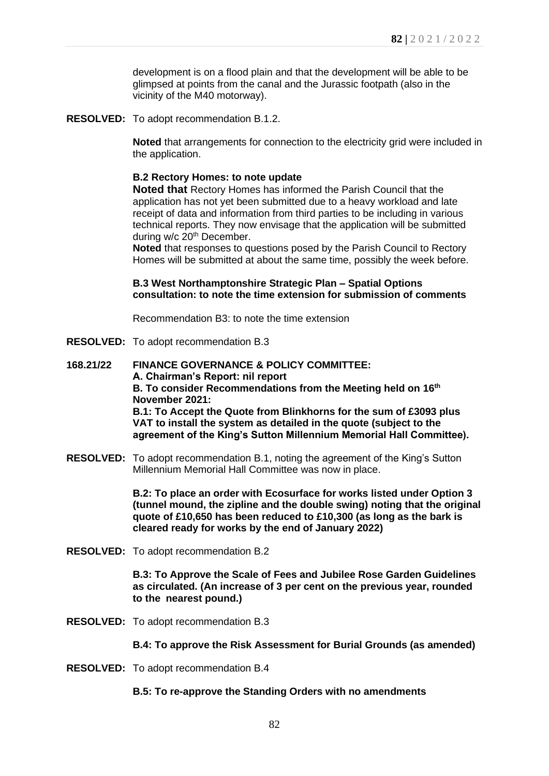development is on a flood plain and that the development will be able to be glimpsed at points from the canal and the Jurassic footpath (also in the vicinity of the M40 motorway).

**RESOLVED:** To adopt recommendation B.1.2.

**Noted** that arrangements for connection to the electricity grid were included in the application.

## **B.2 Rectory Homes: to note update**

**Noted that** Rectory Homes has informed the Parish Council that the application has not yet been submitted due to a heavy workload and late receipt of data and information from third parties to be including in various technical reports. They now envisage that the application will be submitted during w/c 20<sup>th</sup> December.

**Noted** that responses to questions posed by the Parish Council to Rectory Homes will be submitted at about the same time, possibly the week before.

## **B.3 West Northamptonshire Strategic Plan – Spatial Options consultation: to note the time extension for submission of comments**

Recommendation B3: to note the time extension

- **RESOLVED:** To adopt recommendation B.3
- **168.21/22 FINANCE GOVERNANCE & POLICY COMMITTEE: A. Chairman's Report: nil report B. To consider Recommendations from the Meeting held on 16th November 2021: B.1: To Accept the Quote from Blinkhorns for the sum of £3093 plus VAT to install the system as detailed in the quote (subject to the agreement of the King's Sutton Millennium Memorial Hall Committee).**
- **RESOLVED:** To adopt recommendation B.1, noting the agreement of the King's Sutton Millennium Memorial Hall Committee was now in place.

**B.2: To place an order with Ecosurface for works listed under Option 3 (tunnel mound, the zipline and the double swing) noting that the original quote of £10,650 has been reduced to £10,300 (as long as the bark is cleared ready for works by the end of January 2022)**

**RESOLVED:** To adopt recommendation B.2

**B.3: To Approve the Scale of Fees and Jubilee Rose Garden Guidelines as circulated. (An increase of 3 per cent on the previous year, rounded to the nearest pound.)**

**RESOLVED:** To adopt recommendation B.3

**B.4: To approve the Risk Assessment for Burial Grounds (as amended)**

**RESOLVED:** To adopt recommendation B.4

## **B.5: To re-approve the Standing Orders with no amendments**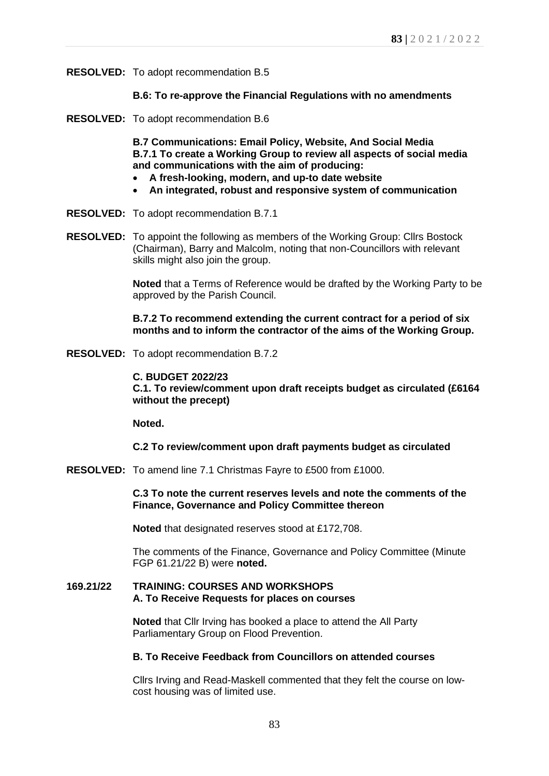**RESOLVED:** To adopt recommendation B.5

# **B.6: To re-approve the Financial Regulations with no amendments**

**RESOLVED:** To adopt recommendation B.6

**B.7 Communications: Email Policy, Website, And Social Media B.7.1 To create a Working Group to review all aspects of social media and communications with the aim of producing:**

- **A fresh-looking, modern, and up-to date website**
- **An integrated, robust and responsive system of communication**
- **RESOLVED:** To adopt recommendation B.7.1
- **RESOLVED:** To appoint the following as members of the Working Group: Cllrs Bostock (Chairman), Barry and Malcolm, noting that non-Councillors with relevant skills might also join the group.

**Noted** that a Terms of Reference would be drafted by the Working Party to be approved by the Parish Council.

**B.7.2 To recommend extending the current contract for a period of six months and to inform the contractor of the aims of the Working Group.**

**RESOLVED:** To adopt recommendation B.7.2

**C. BUDGET 2022/23 C.1. To review/comment upon draft receipts budget as circulated (£6164 without the precept)**

**Noted.**

**C.2 To review/comment upon draft payments budget as circulated** 

**RESOLVED:** To amend line 7.1 Christmas Fayre to £500 from £1000.

**C.3 To note the current reserves levels and note the comments of the Finance, Governance and Policy Committee thereon**

**Noted** that designated reserves stood at £172,708.

The comments of the Finance, Governance and Policy Committee (Minute FGP 61.21/22 B) were **noted.**

# **169.21/22 TRAINING: COURSES AND WORKSHOPS A. To Receive Requests for places on courses**

**Noted** that Cllr Irving has booked a place to attend the All Party Parliamentary Group on Flood Prevention.

## **B. To Receive Feedback from Councillors on attended courses**

Cllrs Irving and Read-Maskell commented that they felt the course on lowcost housing was of limited use.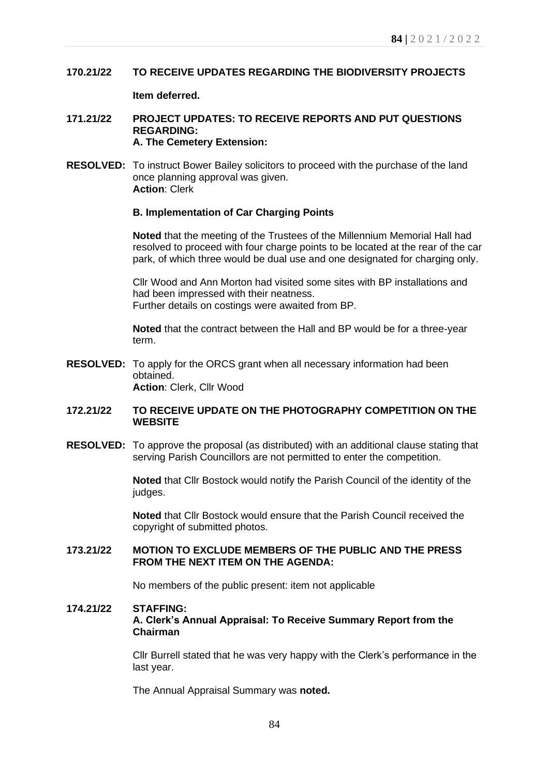# **170.21/22 TO RECEIVE UPDATES REGARDING THE BIODIVERSITY PROJECTS**

# **Item deferred.**

## **171.21/22 PROJECT UPDATES: TO RECEIVE REPORTS AND PUT QUESTIONS REGARDING: A. The Cemetery Extension:**

**RESOLVED:** To instruct Bower Bailey solicitors to proceed with the purchase of the land once planning approval was given. **Action**: Clerk

# **B. Implementation of Car Charging Points**

**Noted** that the meeting of the Trustees of the Millennium Memorial Hall had resolved to proceed with four charge points to be located at the rear of the car park, of which three would be dual use and one designated for charging only.

Cllr Wood and Ann Morton had visited some sites with BP installations and had been impressed with their neatness. Further details on costings were awaited from BP.

**Noted** that the contract between the Hall and BP would be for a three-year term.

**RESOLVED:** To apply for the ORCS grant when all necessary information had been obtained. **Action**: Clerk, Cllr Wood

# **172.21/22 TO RECEIVE UPDATE ON THE PHOTOGRAPHY COMPETITION ON THE WEBSITE**

**RESOLVED:** To approve the proposal (as distributed) with an additional clause stating that serving Parish Councillors are not permitted to enter the competition.

> **Noted** that Cllr Bostock would notify the Parish Council of the identity of the judges.

**Noted** that Cllr Bostock would ensure that the Parish Council received the copyright of submitted photos.

# **173.21/22 MOTION TO EXCLUDE MEMBERS OF THE PUBLIC AND THE PRESS FROM THE NEXT ITEM ON THE AGENDA:**

No members of the public present: item not applicable

## **174.21/22 STAFFING:**

**A. Clerk's Annual Appraisal: To Receive Summary Report from the Chairman**

Cllr Burrell stated that he was very happy with the Clerk's performance in the last year.

The Annual Appraisal Summary was **noted.**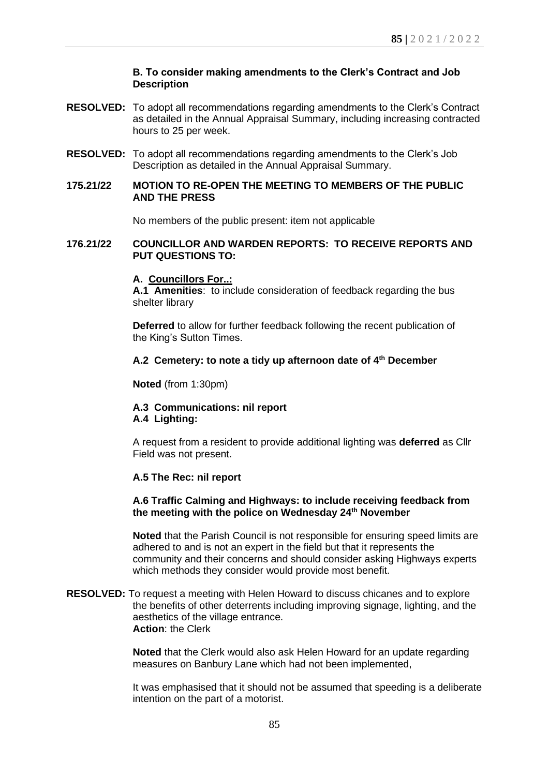# **B. To consider making amendments to the Clerk's Contract and Job Description**

- **RESOLVED:** To adopt all recommendations regarding amendments to the Clerk's Contract as detailed in the Annual Appraisal Summary, including increasing contracted hours to 25 per week.
- **RESOLVED:** To adopt all recommendations regarding amendments to the Clerk's Job Description as detailed in the Annual Appraisal Summary.

## **175.21/22 MOTION TO RE-OPEN THE MEETING TO MEMBERS OF THE PUBLIC AND THE PRESS**

No members of the public present: item not applicable

## **176.21/22 COUNCILLOR AND WARDEN REPORTS: TO RECEIVE REPORTS AND PUT QUESTIONS TO:**

**A. Councillors For..:**

**A.1 Amenities**: to include consideration of feedback regarding the bus shelter library

**Deferred** to allow for further feedback following the recent publication of the King's Sutton Times.

# **A.2 Cemetery: to note a tidy up afternoon date of 4th December**

**Noted** (from 1:30pm)

## **A.3 Communications: nil report A.4 Lighting:**

A request from a resident to provide additional lighting was **deferred** as Cllr Field was not present.

## **A.5 The Rec: nil report**

# **A.6 Traffic Calming and Highways: to include receiving feedback from the meeting with the police on Wednesday 24th November**

**Noted** that the Parish Council is not responsible for ensuring speed limits are adhered to and is not an expert in the field but that it represents the community and their concerns and should consider asking Highways experts which methods they consider would provide most benefit.

## **RESOLVED:** To request a meeting with Helen Howard to discuss chicanes and to explore the benefits of other deterrents including improving signage, lighting, and the aesthetics of the village entrance. **Action**: the Clerk

**Noted** that the Clerk would also ask Helen Howard for an update regarding measures on Banbury Lane which had not been implemented,

It was emphasised that it should not be assumed that speeding is a deliberate intention on the part of a motorist.